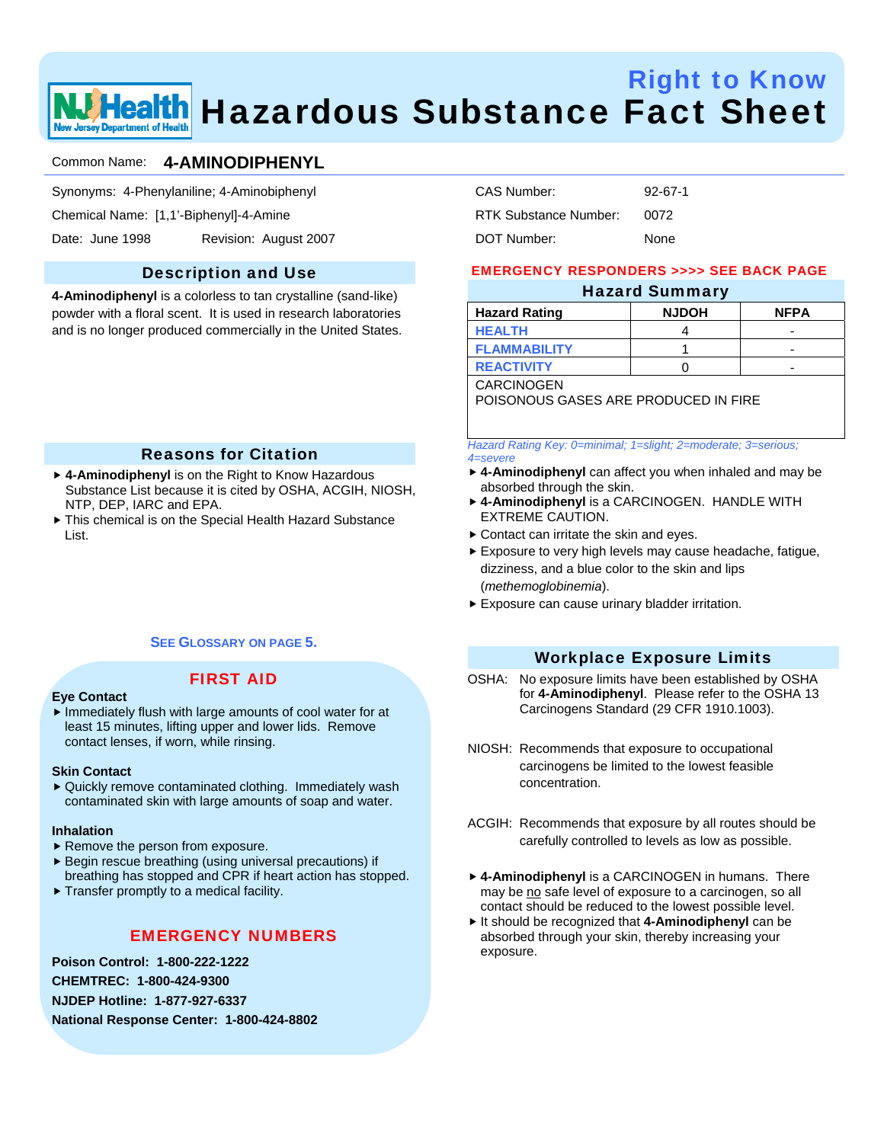# Right to Know Health Hazardous Substance Fact Sheet

# Common Name: **4-AMINODIPHENYL**

|  |  | Synonyms: 4-Phenylaniline; 4-Aminobiphenyl |
|--|--|--------------------------------------------|
|--|--|--------------------------------------------|

Chemical Name: [1,1'-Biphenyl]-4-Amine

Date: June 1998 Revision: August 2007

# Description and Use

**4-Aminodiphenyl** is a colorless to tan crystalline (sand-like) powder with a floral scent. It is used in research laboratories and is no longer produced commercially in the United States.

#### Reasons for Citation

- ▶ 4-Aminodiphenyl is on the Right to Know Hazardous Substance List because it is cited by OSHA, ACGIH, NIOSH, NTP, DEP, IARC and EPA.
- $\blacktriangleright$  This chemical is on the Special Health Hazard Substance List.

#### **SEE GLOSSARY ON PAGE 5.**

#### FIRST AID

#### **Eye Contact**

 $\blacktriangleright$  Immediately flush with large amounts of cool water for at least 15 minutes, lifting upper and lower lids. Remove contact lenses, if worn, while rinsing.

#### **Skin Contact**

▶ Quickly remove contaminated clothing. Immediately wash contaminated skin with large amounts of soap and water.

#### **Inhalation**

- $\blacktriangleright$  Remove the person from exposure.
- $\blacktriangleright$  Begin rescue breathing (using universal precautions) if breathing has stopped and CPR if heart action has stopped.
- $\blacktriangleright$  Transfer promptly to a medical facility.

### EMERGENCY NUMBERS

**Poison Control: 1-800-222-1222 CHEMTREC: 1-800-424-9300 NJDEP Hotline: 1-877-927-6337 National Response Center: 1-800-424-8802** 

| CAS Number:           | $92 - 67 - 1$ |
|-----------------------|---------------|
| RTK Substance Number: | 0072          |
| DOT Number:           | None          |

#### EMERGENCY RESPONDERS >>>> SEE BACK PAGE

| <b>Hazard Summary</b> |  |              |             |
|-----------------------|--|--------------|-------------|
| <b>Hazard Rating</b>  |  | <b>NJDOH</b> | <b>NFPA</b> |

| - Hazard Rating     | NJDOH | NFPA |
|---------------------|-------|------|
| <b>HEALTH</b>       |       |      |
| <b>FLAMMABILITY</b> |       | -    |
| <b>REACTIVITY</b>   |       | -    |

CARCINOGEN

POISONOUS GASES ARE PRODUCED IN FIRE

*Hazard Rating Key: 0=minimal; 1=slight; 2=moderate; 3=serious; 4=severe*

- ► 4-Aminodiphenyl can affect you when inhaled and may be absorbed through the skin.
- f **4-Aminodiphenyl** is a CARCINOGEN. HANDLE WITH EXTREME CAUTION.
- $\blacktriangleright$  Contact can irritate the skin and eyes.
- $\blacktriangleright$  Exposure to very high levels may cause headache, fatigue, dizziness, and a blue color to the skin and lips (*methemoglobinemia*).
- $\blacktriangleright$  Exposure can cause urinary bladder irritation.

#### Workplace Exposure Limits

OSHA: No exposure limits have been established by OSHA for **4-Aminodiphenyl**. Please refer to the OSHA 13 Carcinogens Standard (29 CFR 1910.1003).

- NIOSH: Recommends that exposure to occupational carcinogens be limited to the lowest feasible concentration.
- ACGIH: Recommends that exposure by all routes should be carefully controlled to levels as low as possible.
- ▶ 4-Aminodiphenyl is a CARCINOGEN in humans. There may be no safe level of exposure to a carcinogen, so all contact should be reduced to the lowest possible level.
- It should be recognized that 4-Aminodiphenyl can be absorbed through your skin, thereby increasing your exposure.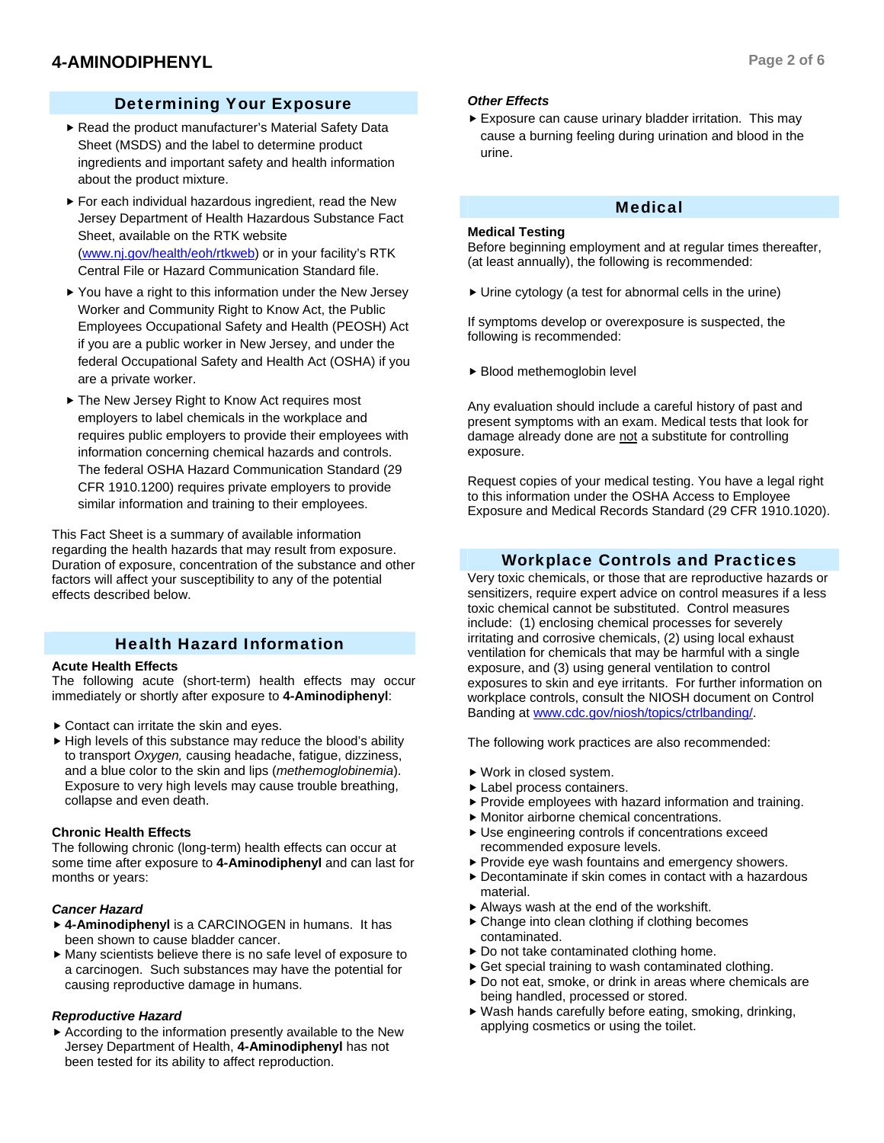# Determining Your Exposure

- Read the product manufacturer's Material Safety Data Sheet (MSDS) and the label to determine product ingredients and important safety and health information about the product mixture.
- $\blacktriangleright$  For each individual hazardous ingredient, read the New Jersey Department of Health Hazardous Substance Fact Sheet, available on the RTK website (www.nj.gov/health/eoh/rtkweb) or in your facility's RTK Central File or Hazard Communication Standard file.
- $\blacktriangleright$  You have a right to this information under the New Jersey Worker and Community Right to Know Act, the Public Employees Occupational Safety and Health (PEOSH) Act if you are a public worker in New Jersey, and under the federal Occupational Safety and Health Act (OSHA) if you are a private worker.
- ▶ The New Jersey Right to Know Act requires most employers to label chemicals in the workplace and requires public employers to provide their employees with information concerning chemical hazards and controls. The federal OSHA Hazard Communication Standard (29 CFR 1910.1200) requires private employers to provide similar information and training to their employees.

This Fact Sheet is a summary of available information regarding the health hazards that may result from exposure. Duration of exposure, concentration of the substance and other factors will affect your susceptibility to any of the potential effects described below.

### Health Hazard Information

#### **Acute Health Effects**

The following acute (short-term) health effects may occur immediately or shortly after exposure to **4-Aminodiphenyl**:

- $\triangleright$  Contact can irritate the skin and eyes.
- $\blacktriangleright$  High levels of this substance may reduce the blood's ability to transport *Oxygen,* causing headache, fatigue, dizziness, and a blue color to the skin and lips (*methemoglobinemia*). Exposure to very high levels may cause trouble breathing, collapse and even death.

#### **Chronic Health Effects**

The following chronic (long-term) health effects can occur at some time after exposure to **4-Aminodiphenyl** and can last for months or years:

#### *Cancer Hazard*

- ▶ 4-Aminodiphenyl is a CARCINOGEN in humans. It has been shown to cause bladder cancer.
- $\blacktriangleright$  Many scientists believe there is no safe level of exposure to a carcinogen. Such substances may have the potential for causing reproductive damage in humans.

#### *Reproductive Hazard*

 $\blacktriangleright$  According to the information presently available to the New Jersey Department of Health, **4-Aminodiphenyl** has not been tested for its ability to affect reproduction.

#### *Other Effects*

 $\blacktriangleright$  Exposure can cause urinary bladder irritation. This may cause a burning feeling during urination and blood in the urine.

#### Medical

#### **Medical Testing**

Before beginning employment and at regular times thereafter, (at least annually), the following is recommended:

 $\blacktriangleright$  Urine cytology (a test for abnormal cells in the urine)

If symptoms develop or overexposure is suspected, the following is recommended:

 $\blacktriangleright$  Blood methemoglobin level

Any evaluation should include a careful history of past and present symptoms with an exam. Medical tests that look for damage already done are not a substitute for controlling exposure.

Request copies of your medical testing. You have a legal right to this information under the OSHA Access to Employee Exposure and Medical Records Standard (29 CFR 1910.1020).

### Workplace Controls and Practices

Very toxic chemicals, or those that are reproductive hazards or sensitizers, require expert advice on control measures if a less toxic chemical cannot be substituted. Control measures include: (1) enclosing chemical processes for severely irritating and corrosive chemicals, (2) using local exhaust ventilation for chemicals that may be harmful with a single exposure, and (3) using general ventilation to control exposures to skin and eye irritants. For further information on workplace controls, consult the NIOSH document on Control Banding at www.cdc.gov/niosh/topics/ctrlbanding/.

The following work practices are also recommended:

- $\blacktriangleright$  Work in closed system.
- $\blacktriangleright$  Label process containers.
- $\blacktriangleright$  Provide employees with hazard information and training.
- $\blacktriangleright$  Monitor airborne chemical concentrations.
- $\blacktriangleright$  Use engineering controls if concentrations exceed recommended exposure levels.
- $\blacktriangleright$  Provide eye wash fountains and emergency showers.
- $\blacktriangleright$  Decontaminate if skin comes in contact with a hazardous material.
- $\blacktriangleright$  Always wash at the end of the workshift.
- $\triangleright$  Change into clean clothing if clothing becomes contaminated.
- $\blacktriangleright$  Do not take contaminated clothing home.
- $\triangleright$  Get special training to wash contaminated clothing.
- $\triangleright$  Do not eat, smoke, or drink in areas where chemicals are being handled, processed or stored.
- $\blacktriangleright$  Wash hands carefully before eating, smoking, drinking, applying cosmetics or using the toilet.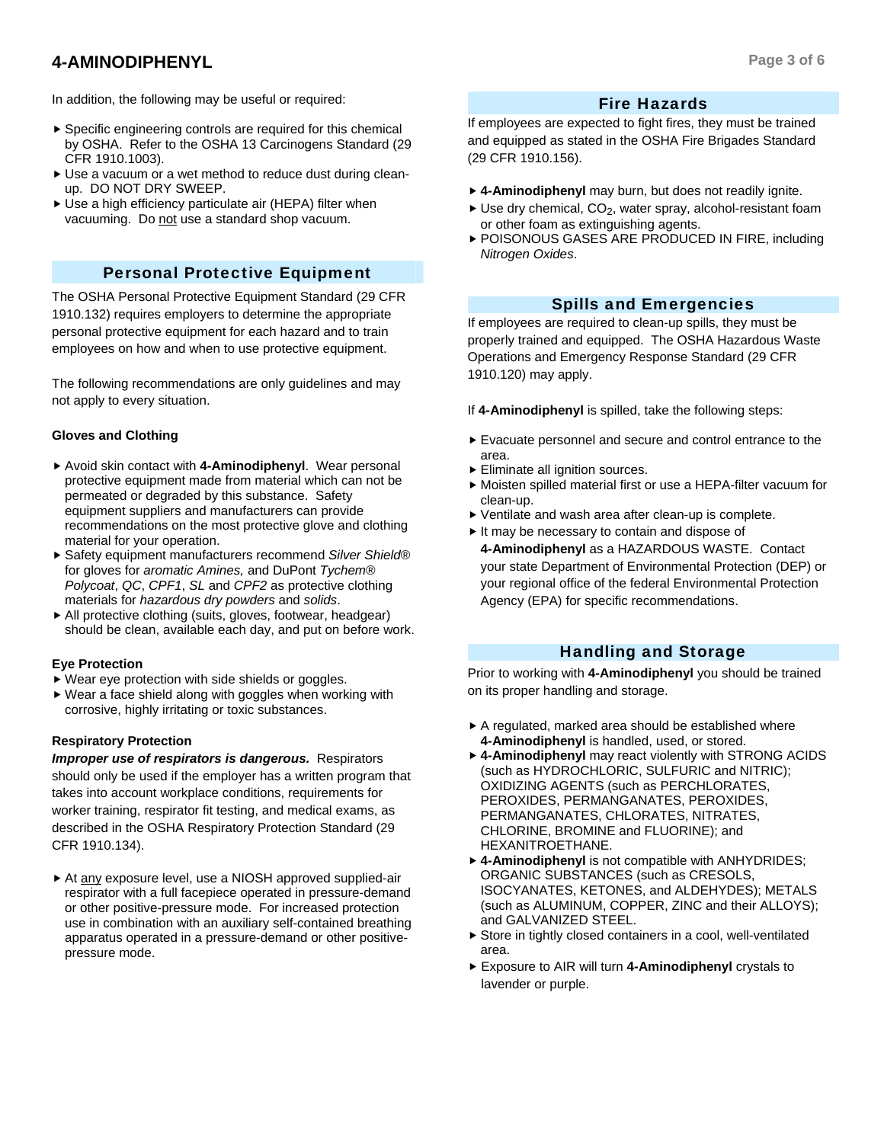# **4-AMINODIPHENYL Page 3 of 6**

In addition, the following may be useful or required:

- $\triangleright$  Specific engineering controls are required for this chemical by OSHA. Refer to the OSHA 13 Carcinogens Standard (29 CFR 1910.1003).
- Use a vacuum or a wet method to reduce dust during cleanup. DO NOT DRY SWEEP.
- $\blacktriangleright$  Use a high efficiency particulate air (HEPA) filter when vacuuming. Do not use a standard shop vacuum.

### Personal Protective Equipment

The OSHA Personal Protective Equipment Standard (29 CFR 1910.132) requires employers to determine the appropriate personal protective equipment for each hazard and to train employees on how and when to use protective equipment.

The following recommendations are only guidelines and may not apply to every situation.

#### **Gloves and Clothing**

- ▶ Avoid skin contact with 4-Aminodiphenyl. Wear personal protective equipment made from material which can not be permeated or degraded by this substance. Safety equipment suppliers and manufacturers can provide recommendations on the most protective glove and clothing material for your operation.
- ▶ Safety equipment manufacturers recommend *Silver Shield*<sup>®</sup> for gloves for *aromatic Amines,* and DuPont *Tychem*® *Polycoat*, *QC*, *CPF1*, *SL* and *CPF2* as protective clothing materials for *hazardous dry powders* and *solids*.
- $\blacktriangleright$  All protective clothing (suits, gloves, footwear, headgear) should be clean, available each day, and put on before work.

#### **Eye Protection**

- $\blacktriangleright$  Wear eye protection with side shields or goggles.
- $\triangleright$  Wear a face shield along with goggles when working with corrosive, highly irritating or toxic substances.

#### **Respiratory Protection**

*Improper use of respirators is dangerous.* Respirators should only be used if the employer has a written program that takes into account workplace conditions, requirements for worker training, respirator fit testing, and medical exams, as described in the OSHA Respiratory Protection Standard (29 CFR 1910.134).

 $\triangleright$  At any exposure level, use a NIOSH approved supplied-air respirator with a full facepiece operated in pressure-demand or other positive-pressure mode. For increased protection use in combination with an auxiliary self-contained breathing apparatus operated in a pressure-demand or other positivepressure mode.

# Fire Hazards

If employees are expected to fight fires, they must be trained and equipped as stated in the OSHA Fire Brigades Standard (29 CFR 1910.156).

- **4-Aminodiphenyl** may burn, but does not readily ignite.
- $\triangleright$  Use dry chemical, CO<sub>2</sub>, water spray, alcohol-resistant foam or other foam as extinguishing agents.
- **POISONOUS GASES ARE PRODUCED IN FIRE, including** *Nitrogen Oxides*.

# Spills and Emergencies

If employees are required to clean-up spills, they must be properly trained and equipped. The OSHA Hazardous Waste Operations and Emergency Response Standard (29 CFR 1910.120) may apply.

If **4-Aminodiphenyl** is spilled, take the following steps:

- $\blacktriangleright$  Evacuate personnel and secure and control entrance to the area.
- $\blacktriangleright$  Eliminate all ignition sources.
- $\triangleright$  Moisten spilled material first or use a HEPA-filter vacuum for clean-up.
- $\blacktriangleright$  Ventilate and wash area after clean-up is complete.
- $\blacktriangleright$  It may be necessary to contain and dispose of **4-Aminodiphenyl** as a HAZARDOUS WASTE. Contact your state Department of Environmental Protection (DEP) or your regional office of the federal Environmental Protection Agency (EPA) for specific recommendations.

# Handling and Storage

Prior to working with **4-Aminodiphenyl** you should be trained on its proper handling and storage.

- $\triangleright$  A regulated, marked area should be established where **4-Aminodiphenyl** is handled, used, or stored.
- **Examinodiphenyl** may react violently with STRONG ACIDS (such as HYDROCHLORIC, SULFURIC and NITRIC); OXIDIZING AGENTS (such as PERCHLORATES, PEROXIDES, PERMANGANATES, PEROXIDES, PERMANGANATES, CHLORATES, NITRATES, CHLORINE, BROMINE and FLUORINE); and HEXANITROETHANE.
- **4-Aminodiphenyl** is not compatible with ANHYDRIDES; ORGANIC SUBSTANCES (such as CRESOLS, ISOCYANATES, KETONES, and ALDEHYDES); METALS (such as ALUMINUM, COPPER, ZINC and their ALLOYS); and GALVANIZED STEEL.
- $\triangleright$  Store in tightly closed containers in a cool, well-ventilated area.
- f Exposure to AIR will turn **4-Aminodiphenyl** crystals to lavender or purple.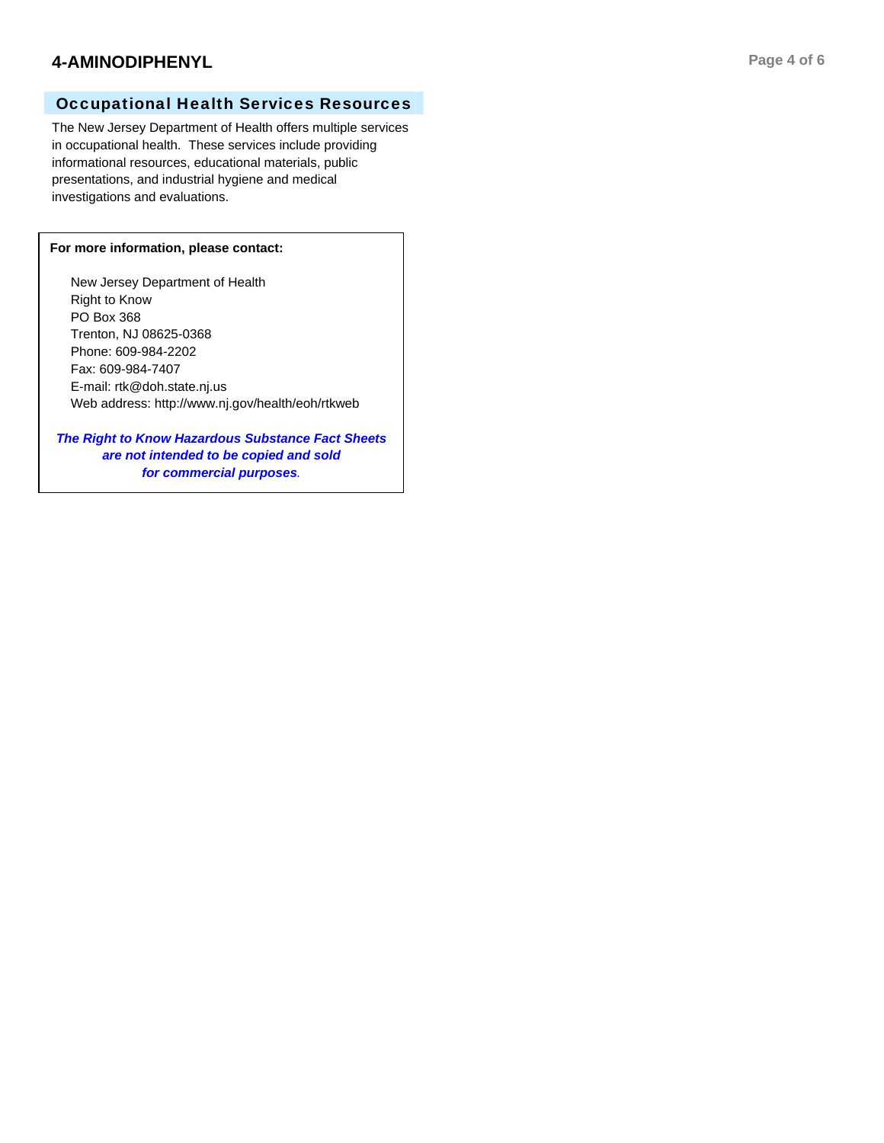# **4-AMINODIPHENYL** Page 4 of 6

# Occupational Health Services Resources

The New Jersey Department of Health offers multiple services in occupational health. These services include providing informational resources, educational materials, public presentations, and industrial hygiene and medical investigations and evaluations.

#### **For more information, please contact:**

 New Jersey Department of Health Right to Know PO Box 368 Trenton, NJ 08625-0368 Phone: 609-984-2202 Fax: 609-984-7407 E-mail: rtk@doh.state.nj.us Web address: http://www.nj.gov/health/eoh/rtkweb

*The Right to Know Hazardous Substance Fact Sheets are not intended to be copied and sold for commercial purposes.*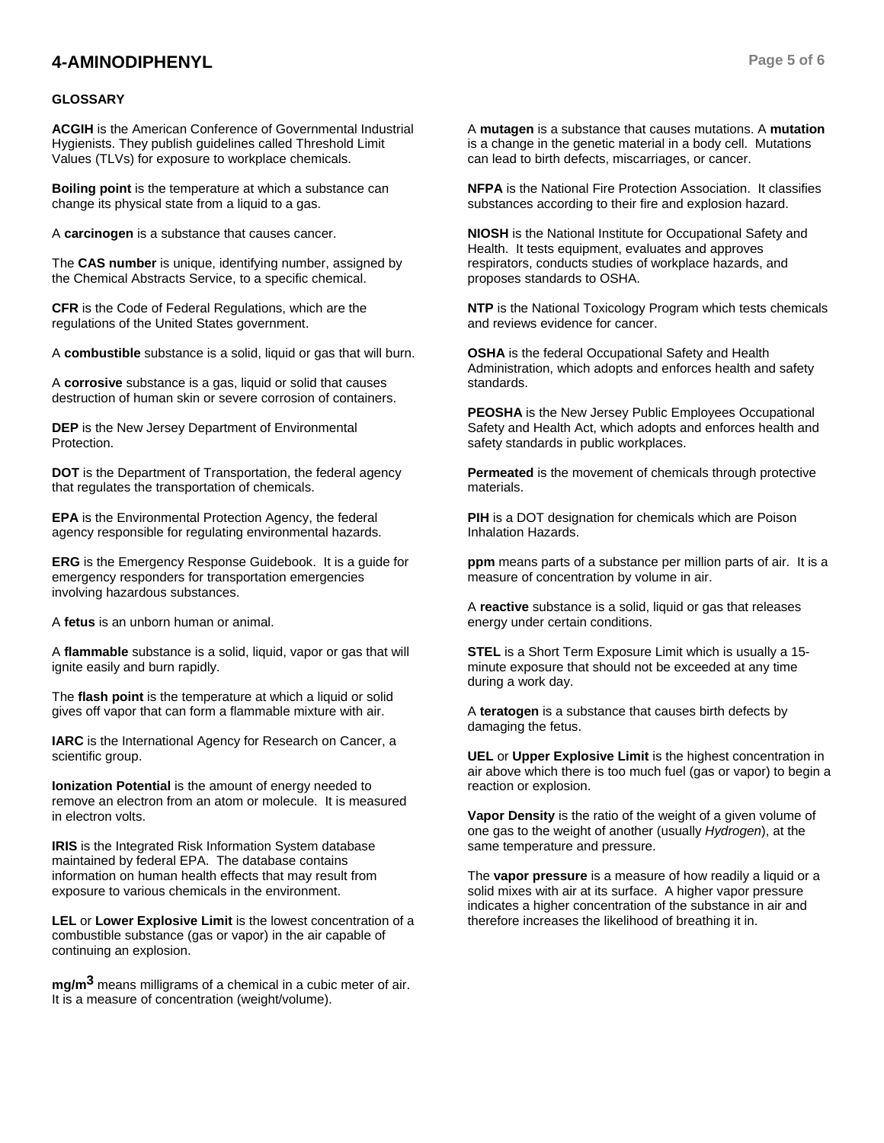# **4-AMINODIPHENYL Page 5 of 6**

#### **GLOSSARY**

**ACGIH** is the American Conference of Governmental Industrial Hygienists. They publish guidelines called Threshold Limit Values (TLVs) for exposure to workplace chemicals.

**Boiling point** is the temperature at which a substance can change its physical state from a liquid to a gas.

A **carcinogen** is a substance that causes cancer.

The **CAS number** is unique, identifying number, assigned by the Chemical Abstracts Service, to a specific chemical.

**CFR** is the Code of Federal Regulations, which are the regulations of the United States government.

A **combustible** substance is a solid, liquid or gas that will burn.

A **corrosive** substance is a gas, liquid or solid that causes destruction of human skin or severe corrosion of containers.

**DEP** is the New Jersey Department of Environmental Protection.

**DOT** is the Department of Transportation, the federal agency that regulates the transportation of chemicals.

**EPA** is the Environmental Protection Agency, the federal agency responsible for regulating environmental hazards.

**ERG** is the Emergency Response Guidebook. It is a guide for emergency responders for transportation emergencies involving hazardous substances.

A **fetus** is an unborn human or animal.

A **flammable** substance is a solid, liquid, vapor or gas that will ignite easily and burn rapidly.

The **flash point** is the temperature at which a liquid or solid gives off vapor that can form a flammable mixture with air.

**IARC** is the International Agency for Research on Cancer, a scientific group.

**Ionization Potential** is the amount of energy needed to remove an electron from an atom or molecule. It is measured in electron volts.

**IRIS** is the Integrated Risk Information System database maintained by federal EPA. The database contains information on human health effects that may result from exposure to various chemicals in the environment.

**LEL** or **Lower Explosive Limit** is the lowest concentration of a combustible substance (gas or vapor) in the air capable of continuing an explosion.

**mg/m3** means milligrams of a chemical in a cubic meter of air. It is a measure of concentration (weight/volume).

A **mutagen** is a substance that causes mutations. A **mutation** is a change in the genetic material in a body cell. Mutations can lead to birth defects, miscarriages, or cancer.

**NFPA** is the National Fire Protection Association. It classifies substances according to their fire and explosion hazard.

**NIOSH** is the National Institute for Occupational Safety and Health. It tests equipment, evaluates and approves respirators, conducts studies of workplace hazards, and proposes standards to OSHA.

**NTP** is the National Toxicology Program which tests chemicals and reviews evidence for cancer.

**OSHA** is the federal Occupational Safety and Health Administration, which adopts and enforces health and safety standards.

**PEOSHA** is the New Jersey Public Employees Occupational Safety and Health Act, which adopts and enforces health and safety standards in public workplaces.

**Permeated** is the movement of chemicals through protective materials.

**PIH** is a DOT designation for chemicals which are Poison Inhalation Hazards.

**ppm** means parts of a substance per million parts of air. It is a measure of concentration by volume in air.

A **reactive** substance is a solid, liquid or gas that releases energy under certain conditions.

**STEL** is a Short Term Exposure Limit which is usually a 15 minute exposure that should not be exceeded at any time during a work day.

A **teratogen** is a substance that causes birth defects by damaging the fetus.

**UEL** or **Upper Explosive Limit** is the highest concentration in air above which there is too much fuel (gas or vapor) to begin a reaction or explosion.

**Vapor Density** is the ratio of the weight of a given volume of one gas to the weight of another (usually *Hydrogen*), at the same temperature and pressure.

The **vapor pressure** is a measure of how readily a liquid or a solid mixes with air at its surface. A higher vapor pressure indicates a higher concentration of the substance in air and therefore increases the likelihood of breathing it in.